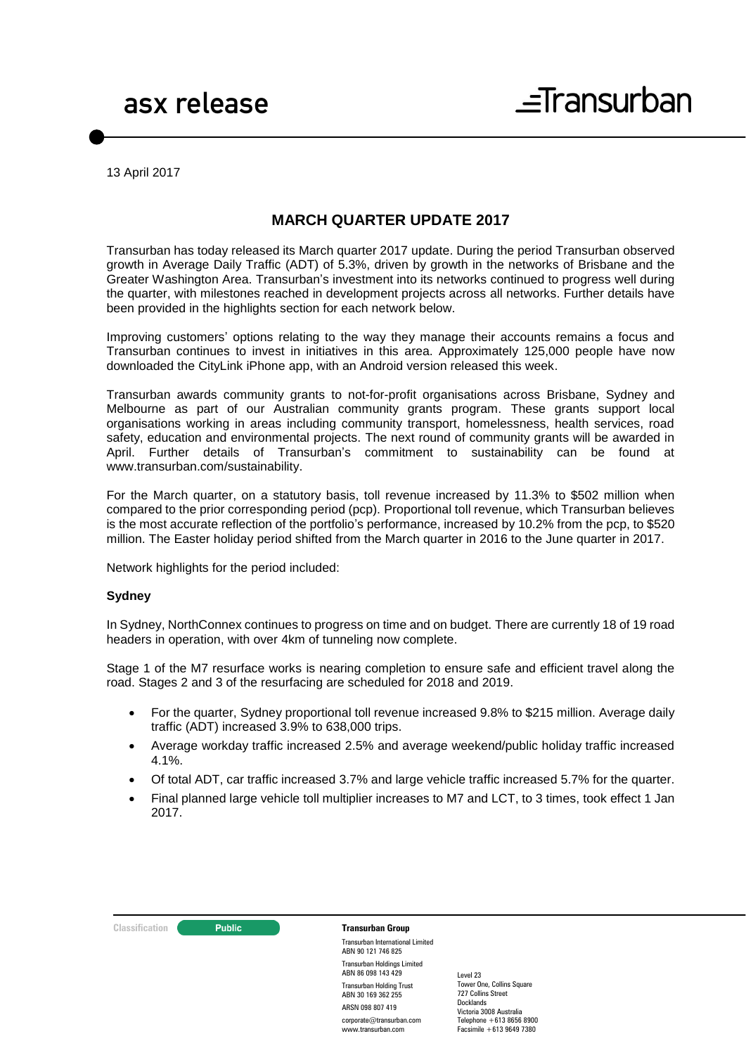13 April 2017

### **MARCH QUARTER UPDATE 2017**

Transurban has today released its March quarter 2017 update. During the period Transurban observed growth in Average Daily Traffic (ADT) of 5.3%, driven by growth in the networks of Brisbane and the Greater Washington Area. Transurban's investment into its networks continued to progress well during the quarter, with milestones reached in development projects across all networks. Further details have been provided in the highlights section for each network below.

Improving customers' options relating to the way they manage their accounts remains a focus and Transurban continues to invest in initiatives in this area. Approximately 125,000 people have now downloaded the CityLink iPhone app, with an Android version released this week.

Transurban awards community grants to not-for-profit organisations across Brisbane, Sydney and Melbourne as part of our Australian community grants program. These grants support local organisations working in areas including community transport, homelessness, health services, road safety, education and environmental projects. The next round of community grants will be awarded in April. Further details of Transurban's commitment to sustainability can be found at www.transurban.com/sustainability.

For the March quarter, on a statutory basis, toll revenue increased by 11.3% to \$502 million when compared to the prior corresponding period (pcp). Proportional toll revenue, which Transurban believes is the most accurate reflection of the portfolio's performance, increased by 10.2% from the pcp, to \$520 million. The Easter holiday period shifted from the March quarter in 2016 to the June quarter in 2017.

Network highlights for the period included:

#### **Sydney**

In Sydney, NorthConnex continues to progress on time and on budget. There are currently 18 of 19 road headers in operation, with over 4km of tunneling now complete.

Stage 1 of the M7 resurface works is nearing completion to ensure safe and efficient travel along the road. Stages 2 and 3 of the resurfacing are scheduled for 2018 and 2019.

- For the quarter, Sydney proportional toll revenue increased 9.8% to \$215 million. Average daily traffic (ADT) increased 3.9% to 638,000 trips.
- Average workday traffic increased 2.5% and average weekend/public holiday traffic increased 4.1%.
- Of total ADT, car traffic increased 3.7% and large vehicle traffic increased 5.7% for the quarter.
- Final planned large vehicle toll multiplier increases to M7 and LCT, to 3 times, took effect 1 Jan 2017.



Transurban International Limited ABN 90 121 746 825 Transurban Holdings Limited ABN 86 098 143 429 Transurban Holding Trust ABN 30 169 362 255 ARSN 098 807 419 corporate@transurban.com www.transurban.com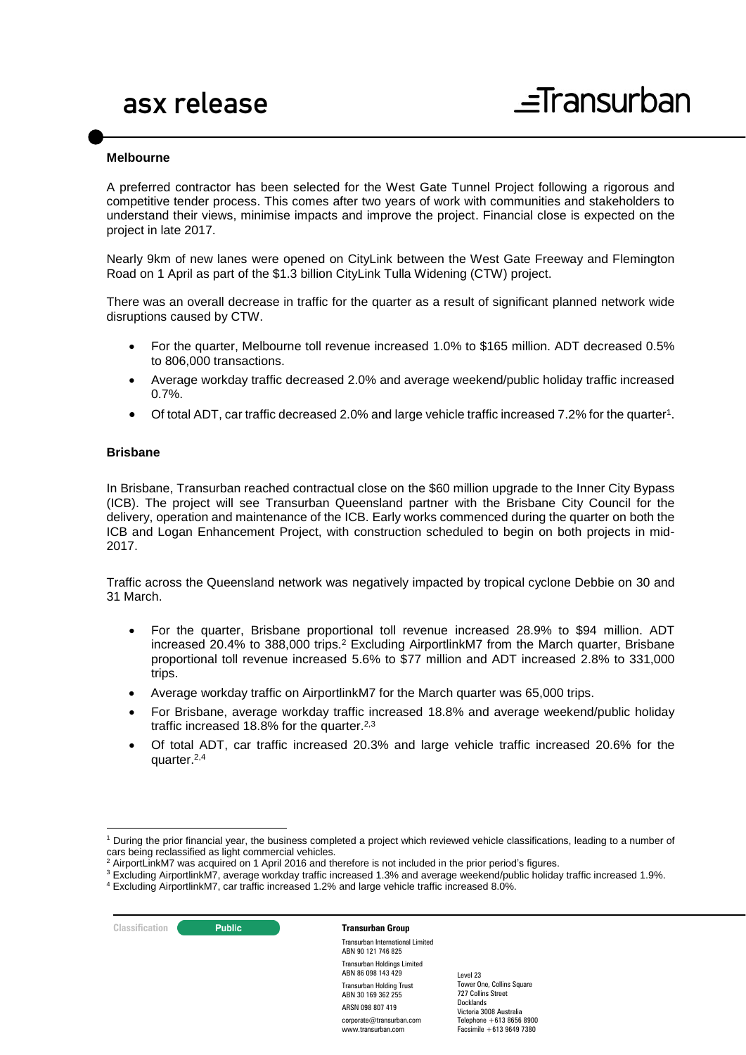#### **Melbourne**

A preferred contractor has been selected for the West Gate Tunnel Project following a rigorous and competitive tender process. This comes after two years of work with communities and stakeholders to understand their views, minimise impacts and improve the project. Financial close is expected on the project in late 2017.

Nearly 9km of new lanes were opened on CityLink between the West Gate Freeway and Flemington Road on 1 April as part of the \$1.3 billion CityLink Tulla Widening (CTW) project.

There was an overall decrease in traffic for the quarter as a result of significant planned network wide disruptions caused by CTW.

- For the quarter, Melbourne toll revenue increased 1.0% to \$165 million. ADT decreased 0.5% to 806,000 transactions.
- Average workday traffic decreased 2.0% and average weekend/public holiday traffic increased 0.7%.
- Of total ADT, car traffic decreased 2.0% and large vehicle traffic increased 7.2% for the quarter<sup>1</sup>.

#### **Brisbane**

In Brisbane, Transurban reached contractual close on the \$60 million upgrade to the Inner City Bypass (ICB). The project will see Transurban Queensland partner with the Brisbane City Council for the delivery, operation and maintenance of the ICB. Early works commenced during the quarter on both the ICB and Logan Enhancement Project, with construction scheduled to begin on both projects in mid-2017.

Traffic across the Queensland network was negatively impacted by tropical cyclone Debbie on 30 and 31 March.

- <span id="page-1-0"></span> For the quarter, Brisbane proportional toll revenue increased 28.9% to \$94 million. ADT increased 20.4% to 388,000 trips.<sup>2</sup> Excluding AirportlinkM7 from the March quarter, Brisbane proportional toll revenue increased 5.6% to \$77 million and ADT increased 2.8% to 331,000 trips.
- Average workday traffic on AirportlinkM7 for the March quarter was 65,000 trips.
- For Brisbane, average workday traffic increased 18.8% and average weekend/public holiday traffic increased 18.8% for the quarter.<sup>[2,3](#page-1-0)</sup>
- Of total ADT, car traffic increased 20.3% and large vehicle traffic increased 20.6% for the quarter.[2,4](#page-1-0)

-

**Classification C Public Transurban Group** Transurban International Limited ABN 90 121 746 825 Transurban Holdings Limited ABN 86 098 143 429 Transurban Holding Trust ABN 30 169 362 255 ARSN 098 807 419 corporate@transurban.com

www.transurban.com

<sup>1</sup> During the prior financial year, the business completed a project which reviewed vehicle classifications, leading to a number of cars being reclassified as light commercial vehicles.<br>
<sup>2</sup> Airport in the 17 uses of a straight commercial vehicles.

AirportLinkM7 was acquired on 1 April 2016 and therefore is not included in the prior period's figures.

<sup>3</sup> Excluding AirportlinkM7, average workday traffic increased 1.3% and average weekend/public holiday traffic increased 1.9%.

<sup>4</sup> Excluding AirportlinkM7, car traffic increased 1.2% and large vehicle traffic increased 8.0%.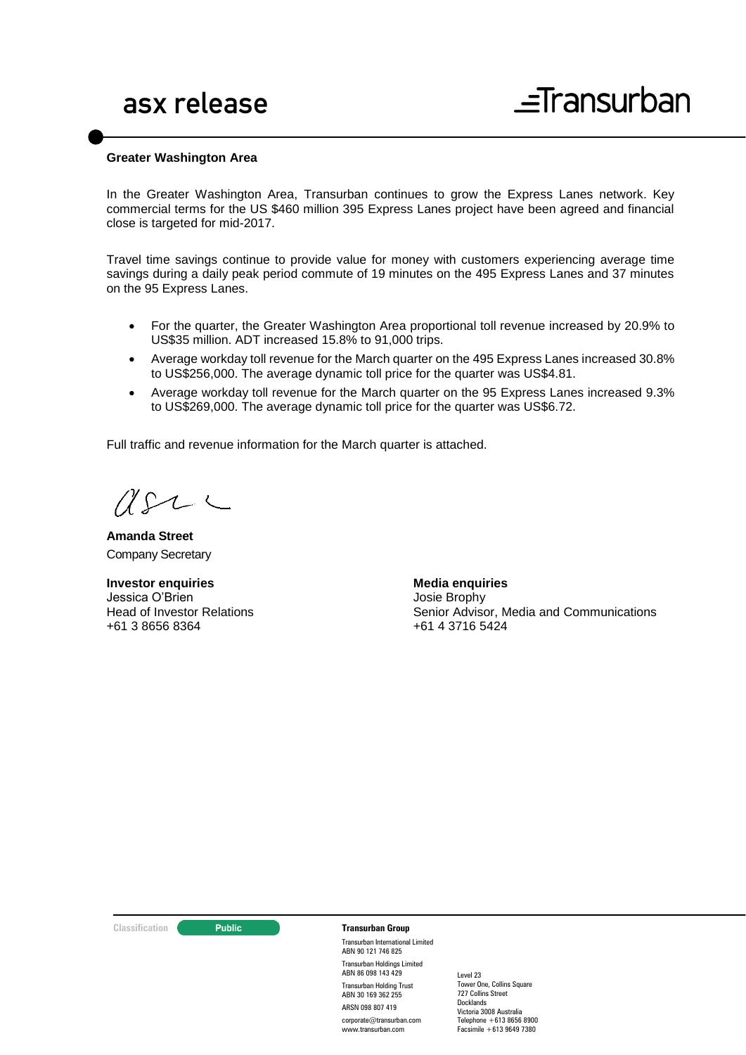#### **Greater Washington Area**

In the Greater Washington Area, Transurban continues to grow the Express Lanes network. Key commercial terms for the US \$460 million 395 Express Lanes project have been agreed and financial close is targeted for mid-2017.

Travel time savings continue to provide value for money with customers experiencing average time savings during a daily peak period commute of 19 minutes on the 495 Express Lanes and 37 minutes on the 95 Express Lanes.

- For the quarter, the Greater Washington Area proportional toll revenue increased by 20.9% to US\$35 million. ADT increased 15.8% to 91,000 trips.
- Average workday toll revenue for the March quarter on the 495 Express Lanes increased 30.8% to US\$256,000. The average dynamic toll price for the quarter was US\$4.81.
- Average workday toll revenue for the March quarter on the 95 Express Lanes increased 9.3% to US\$269,000. The average dynamic toll price for the quarter was US\$6.72.

Full traffic and revenue information for the March quarter is attached.

 $U\Omega$ 

**Amanda Street** Company Secretary

**Investor enquiries** Jessica O'Brien Head of Investor Relations +61 3 8656 8364

**Media enquiries** Josie Brophy

Senior Advisor, Media and Communications +61 4 3716 5424

#### **Classification Transurban Group**

Transurban International Limited ABN 90 121 746 825 Transurban Holdings Limited ABN 86 098 143 429 Transurban Holding Trust ABN 30 169 362 255 ARSN 098 807 419 corporate@transurban.com www.transurban.com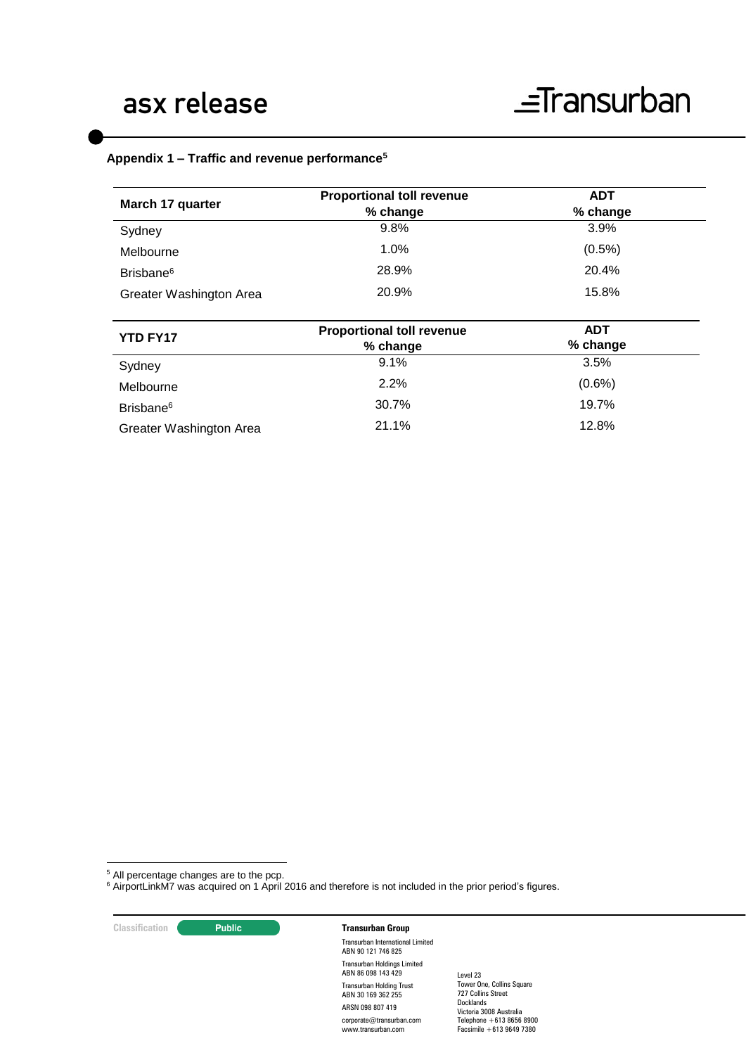#### **Appendix 1 – Traffic and revenue performance<sup>5</sup>**

<span id="page-3-0"></span>

| March 17 quarter        | <b>Proportional toll revenue</b><br>% change | <b>ADT</b><br>% change |  |
|-------------------------|----------------------------------------------|------------------------|--|
| Sydney                  | 9.8%                                         | 3.9%                   |  |
| Melbourne               | 1.0%                                         | $(0.5\%)$              |  |
| Brisbane <sup>6</sup>   | 28.9%                                        | 20.4%                  |  |
| Greater Washington Area | 20.9%                                        | 15.8%                  |  |
|                         |                                              |                        |  |
| <b>YTD FY17</b>         | <b>Proportional toll revenue</b><br>% change | <b>ADT</b><br>% change |  |
| Sydney                  | 9.1%                                         | 3.5%                   |  |
| Melbourne               | 2.2%                                         | $(0.6\%)$              |  |
| Brisbane <sup>6</sup>   | 30.7%                                        | 19.7%                  |  |
|                         |                                              |                        |  |

<sup>5</sup> All percentage changes are to the pcp.

<sup>6</sup> AirportLinkM7 was acquired on 1 April 2016 and therefore is not included in the prior period's figures.

**Classification Constitution Transurban Group** 

1

Transurban International Limited ABN 90 121 746 825 Transurban Holdings Limited ABN 86 098 143 429 Transurban Holding Trust ABN 30 169 362 255 ARSN 098 807 419 corporate@transurban.com www.transurban.com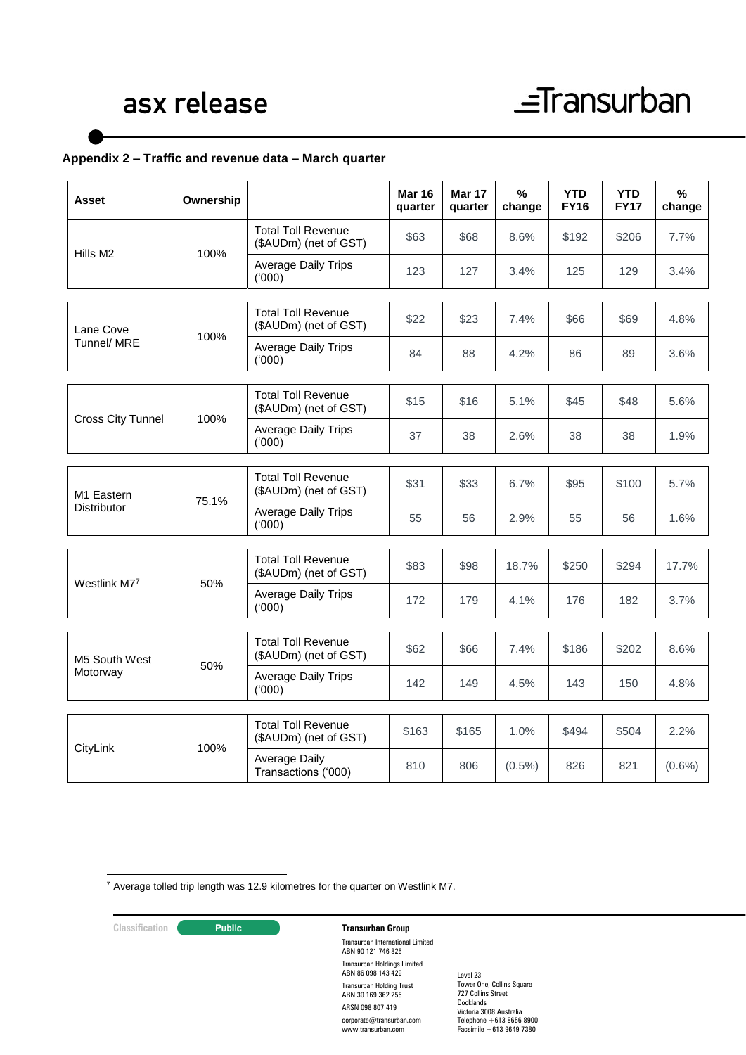#### **Appendix 2 – Traffic and revenue data – March quarter**

| Asset                                        | Ownership |                                                    | <b>Mar 16</b><br>quarter | <b>Mar 17</b><br>quarter | $\%$<br>change | <b>YTD</b><br><b>FY16</b> | <b>YTD</b><br><b>FY17</b> | %<br>change |
|----------------------------------------------|-----------|----------------------------------------------------|--------------------------|--------------------------|----------------|---------------------------|---------------------------|-------------|
| Hills M2                                     | 100%      | <b>Total Toll Revenue</b><br>(\$AUDm) (net of GST) | \$63                     | \$68                     | 8.6%           | \$192                     | \$206                     | 7.7%        |
|                                              |           | <b>Average Daily Trips</b><br>(000)                | 123                      | 127                      | 3.4%           | 125                       | 129                       | 3.4%        |
| Lane Cove<br>Tunnel/ MRE                     | 100%      | <b>Total Toll Revenue</b><br>(\$AUDm) (net of GST) | \$22                     | \$23                     | 7.4%           | \$66                      | \$69                      | 4.8%        |
|                                              |           | <b>Average Daily Trips</b><br>(000)                | 84                       | 88                       | 4.2%           | 86                        | 89                        | 3.6%        |
| <b>Cross City Tunnel</b>                     | 100%      | <b>Total Toll Revenue</b><br>(\$AUDm) (net of GST) | \$15                     | \$16                     | 5.1%           | \$45                      | \$48                      | 5.6%        |
|                                              |           | Average Daily Trips<br>(000)                       | 37                       | 38                       | 2.6%           | 38                        | 38                        | 1.9%        |
| M <sub>1</sub> Eastern<br><b>Distributor</b> | 75.1%     | <b>Total Toll Revenue</b><br>(\$AUDm) (net of GST) | \$31                     | \$33                     | 6.7%           | \$95                      | \$100                     | 5.7%        |
|                                              |           | <b>Average Daily Trips</b><br>('000)               | 55                       | 56                       | 2.9%           | 55                        | 56                        | 1.6%        |
|                                              |           |                                                    |                          |                          |                |                           |                           |             |
| Westlink M77                                 | 50%       | <b>Total Toll Revenue</b><br>(\$AUDm) (net of GST) | \$83                     | \$98                     | 18.7%          | \$250                     | \$294                     | 17.7%       |
|                                              |           | <b>Average Daily Trips</b><br>(000)                | 172                      | 179                      | 4.1%           | 176                       | 182                       | 3.7%        |
| M5 South West<br>Motorway                    | 50%       | <b>Total Toll Revenue</b><br>(\$AUDm) (net of GST) | \$62                     | \$66                     | 7.4%           | \$186                     | \$202                     | 8.6%        |
|                                              |           | <b>Average Daily Trips</b><br>(000)                | 142                      | 149                      | 4.5%           | 143                       | 150                       | 4.8%        |
|                                              |           |                                                    |                          |                          |                |                           |                           |             |
| CityLink                                     | 100%      | <b>Total Toll Revenue</b><br>(\$AUDm) (net of GST) | \$163                    | \$165                    | 1.0%           | \$494                     | \$504                     | 2.2%        |
|                                              |           | Average Daily<br>Transactions ('000)               | 810                      | 806                      | $(0.5\%)$      | 826                       | 821                       | $(0.6\%)$   |

<u>.</u>  $7$  Average tolled trip length was 12.9 kilometres for the quarter on Westlink M7.

### **Classification Constitution Transurban Group**

Transurban International Limited ABN 90 121 746 825 Transurban Holdings Limited ABN 86 098 143 429 Transurban Holding Trust ABN 30 169 362 255 ARSN 098 807 419 corporate@transurban.com www.transurban.com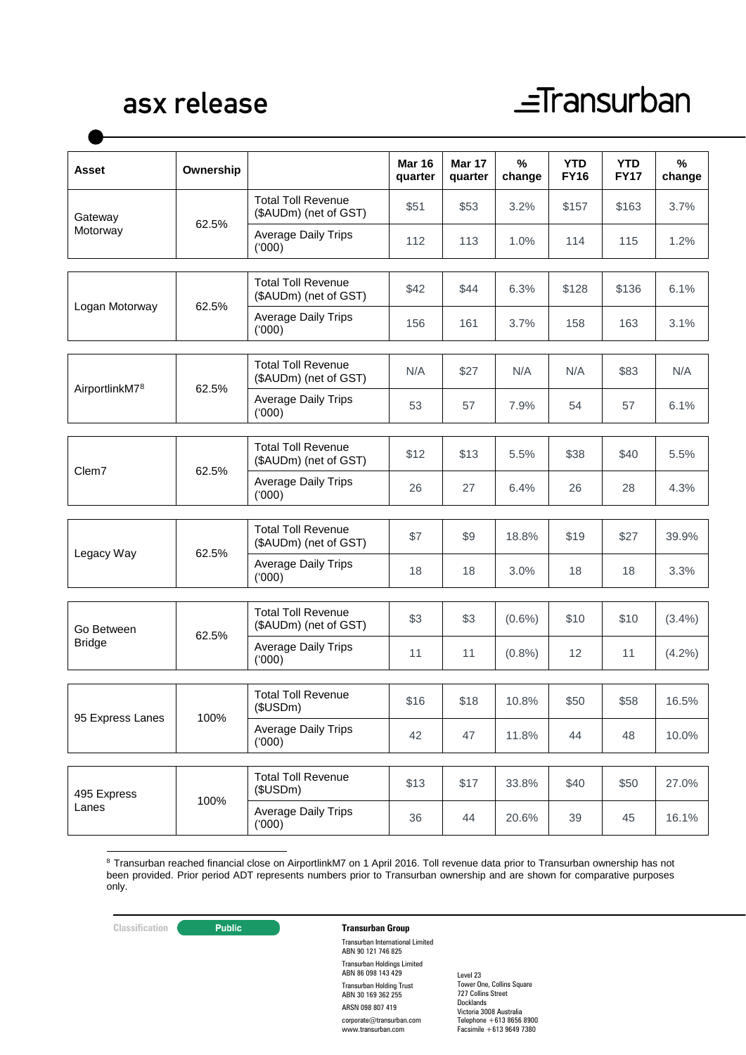## asx release

# $\equiv$ Transurban

| <b>Asset</b>                | Ownership |                                                    | <b>Mar 16</b><br>quarter | Mar 17<br>quarter | %<br>change | <b>YTD</b><br><b>FY16</b> | <b>YTD</b><br><b>FY17</b> | %<br>change |
|-----------------------------|-----------|----------------------------------------------------|--------------------------|-------------------|-------------|---------------------------|---------------------------|-------------|
| Gateway<br>Motorway         | 62.5%     | <b>Total Toll Revenue</b><br>(\$AUDm) (net of GST) | \$51                     | \$53              | 3.2%        | \$157                     | \$163                     | 3.7%        |
|                             |           | <b>Average Daily Trips</b><br>(000)                | 112                      | 113               | 1.0%        | 114                       | 115                       | 1.2%        |
| Logan Motorway              |           | <b>Total Toll Revenue</b><br>(\$AUDm) (net of GST) | \$42                     | \$44              | 6.3%        | \$128                     | \$136                     | 6.1%        |
|                             | 62.5%     | <b>Average Daily Trips</b><br>(000)                | 156                      | 161               | 3.7%        | 158                       | 163                       | 3.1%        |
| AirportlinkM78              |           | <b>Total Toll Revenue</b><br>(\$AUDm) (net of GST) | N/A                      | \$27              | N/A         | N/A                       | \$83                      | N/A         |
|                             | 62.5%     | <b>Average Daily Trips</b><br>(000)                | 53                       | 57                | 7.9%        | 54                        | 57                        | 6.1%        |
| Clem7                       | 62.5%     | <b>Total Toll Revenue</b><br>(\$AUDm) (net of GST) | \$12                     | \$13              | 5.5%        | \$38                      | \$40                      | 5.5%        |
|                             |           | <b>Average Daily Trips</b><br>(000)                | 26                       | 27                | 6.4%        | 26                        | 28                        | 4.3%        |
| Legacy Way                  | 62.5%     | <b>Total Toll Revenue</b><br>(\$AUDm) (net of GST) | \$7                      | \$9               | 18.8%       | \$19                      | \$27                      | 39.9%       |
|                             |           | <b>Average Daily Trips</b><br>(000)                | 18                       | 18                | 3.0%        | 18                        | 18                        | 3.3%        |
| Go Between<br><b>Bridge</b> | 62.5%     | <b>Total Toll Revenue</b><br>(\$AUDm) (net of GST) | \$3                      | \$3               | $(0.6\%)$   | \$10                      | \$10                      | (3.4%)      |
|                             |           | <b>Average Daily Trips</b><br>(000)                | 11                       | 11                | (0.8% )     | 12                        | 11                        | (4.2%)      |
| 95 Express Lanes            | 100%      | <b>Total Toll Revenue</b><br>(\$USDm)              | \$16                     | \$18              | 10.8%       | \$50                      | \$58                      | 16.5%       |
|                             |           | <b>Average Daily Trips</b><br>(000)                | 42                       | 47                | 11.8%       | 44                        | 48                        | 10.0%       |
| 495 Express<br>Lanes        | 100%      | <b>Total Toll Revenue</b><br>(\$USDm)              | \$13                     | \$17              | 33.8%       | \$40                      | \$50                      | 27.0%       |
|                             |           | Average Daily Trips<br>(000)                       | 36                       | 44                | 20.6%       | 39                        | 45                        | 16.1%       |

-<sup>8</sup> Transurban reached financial close on AirportlinkM7 on 1 April 2016. Toll revenue data prior to Transurban ownership has not been provided. Prior period ADT represents numbers prior to Transurban ownership and are shown for comparative purposes only.

### **Classification Constitution Transurban Group**

Transurban International Limited ABN 90 121 746 825 Transurban Holdings Limited ABN 86 098 143 429 Transurban Holding Trust ABN 30 169 362 255 ARSN 098 807 419 corporate@transurban.com www.transurban.com